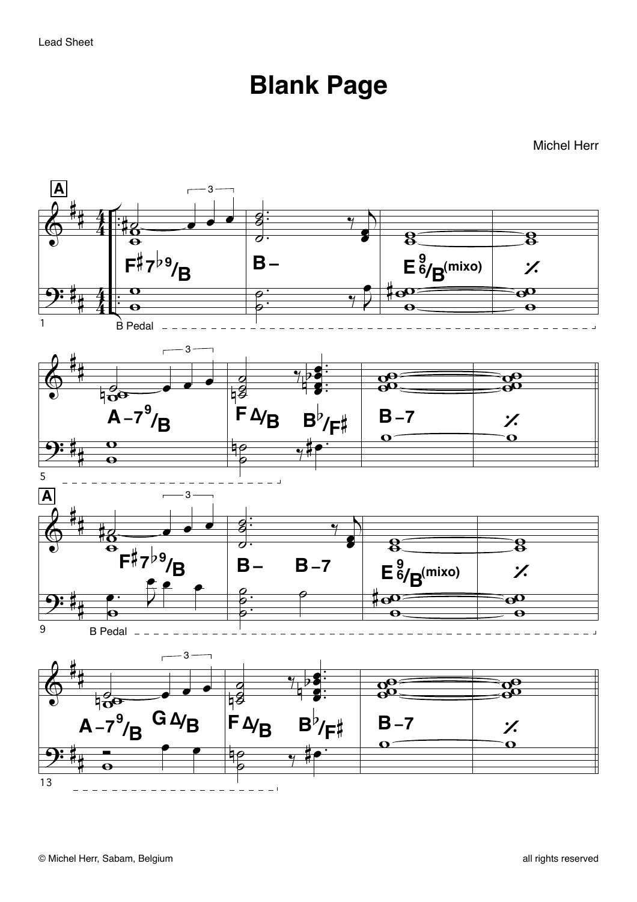## **Blank Page**

Michel Herr